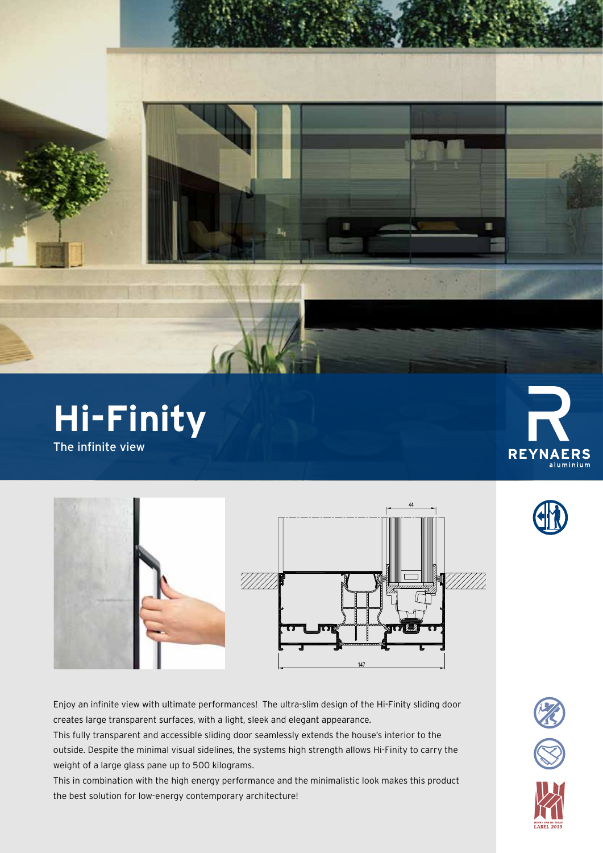



Enjoy an infinite view with ultimate performances! The ultra-slim design of the Hi-Finity sliding door creates large transparent surfaces, with a light, sleek and elegant appearance.

This fully transparent and accessible sliding door seamlessly extends the house's interior to the outside. Despite the minimal visual sidelines, the systems high strength allows Hi-Finity to carry the weight of a large glass pane up to 500 kilograms.

This in combination with the high energy performance and the minimalistic look makes this product the best solution for low-energy contemporary architecture!



×





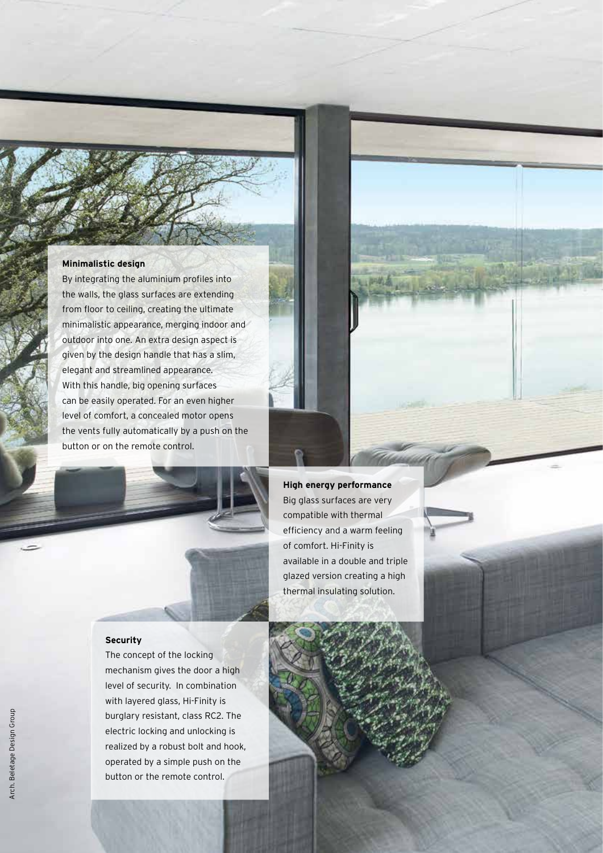## **Minimalistic design**

By integrating the aluminium profiles into the walls, the glass surfaces are extending from floor to ceiling, creating the ultimate minimalistic appearance, merging indoor and outdoor into one. An extra design aspect is given by the design handle that has a slim, elegant and streamlined appearance. With this handle, big opening surfaces can be easily operated. For an even higher level of comfort, a concealed motor opens the vents fully automatically by a push on the button or on the remote control.



## Big glass surfaces are very compatible with thermal efficiency and a warm feeling of comfort. Hi-Finity is

available in a double and triple glazed version creating a high thermal insulating solution.

## **Security**

The concept of the locking mechanism gives the door a high level of security. In combination with layered glass, Hi-Finity is burglary resistant, class RC2. The electric locking and unlocking is realized by a robust bolt and hook, operated by a simple push on the button or the remote control.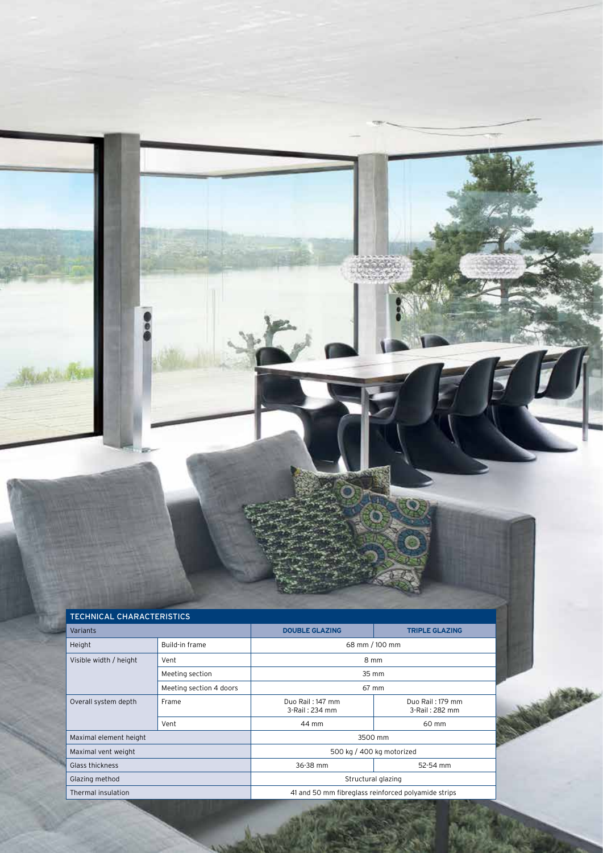| <b>TECHNICAL CHARACTERISTICS</b> |                         |                                                     |                                    |  |  |  |  |  |  |  |
|----------------------------------|-------------------------|-----------------------------------------------------|------------------------------------|--|--|--|--|--|--|--|
| Variants                         |                         | <b>DOUBLE GLAZING</b>                               | <b>TRIPLE GLAZING</b>              |  |  |  |  |  |  |  |
| Height                           | Build-in frame          | 68 mm / 100 mm                                      |                                    |  |  |  |  |  |  |  |
| Visible width / height           | Vent                    | 8 mm                                                |                                    |  |  |  |  |  |  |  |
|                                  | Meeting section         | 35 mm                                               |                                    |  |  |  |  |  |  |  |
|                                  | Meeting section 4 doors | 67 mm                                               |                                    |  |  |  |  |  |  |  |
| Overall system depth             | Frame                   | Duo Rail: 147 mm<br>3-Rail: 234 mm                  | Duo Rail: 179 mm<br>3-Rail: 282 mm |  |  |  |  |  |  |  |
|                                  | Vent                    | 44 mm                                               | 60 mm                              |  |  |  |  |  |  |  |
| Maximal element height           |                         | 3500 mm                                             |                                    |  |  |  |  |  |  |  |
| Maximal vent weight              |                         | 500 kg / 400 kg motorized                           |                                    |  |  |  |  |  |  |  |
| Glass thickness                  |                         | 36-38 mm                                            | 52-54 mm                           |  |  |  |  |  |  |  |
| Glazing method                   |                         | Structural glazing                                  |                                    |  |  |  |  |  |  |  |
| Thermal insulation               |                         | 41 and 50 mm fibreglass reinforced polyamide strips |                                    |  |  |  |  |  |  |  |